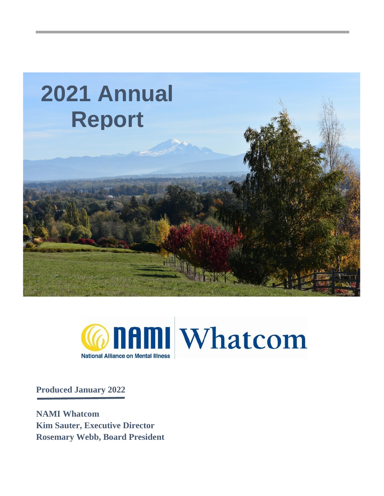



**Produced January 2022**

**NAMI Whatcom Kim Sauter, Executive Director Rosemary Webb, Board President**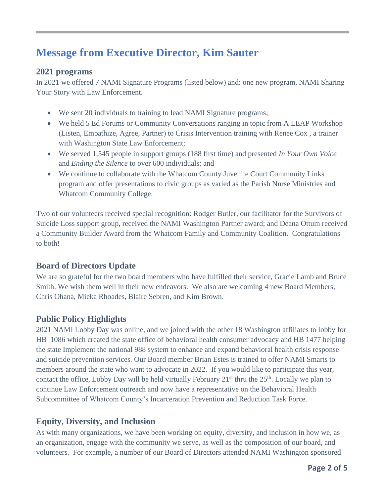# **Message from Executive Director, Kim Sauter**

#### **2021 programs**

In 2021 we offered 7 NAMI Signature Programs (listed below) and: one new program, NAMI Sharing Your Story with Law Enforcement.

- We sent 20 individuals to training to lead NAMI Signature programs;
- We held 5 Ed Forums or Community Conversations ranging in topic from A LEAP Workshop (Listen, Empathize, Agree, Partner) to Crisis Intervention training with Renee Cox , a trainer with Washington State Law Enforcement;
- We served 1,545 people in support groups (188 first time) and presented *In Your Own Voice* and *Ending the Silence* to over 600 individuals; and
- We continue to collaborate with the Whatcom County Juvenile Court Community Links program and offer presentations to civic groups as varied as the Parish Nurse Ministries and Whatcom Community College.

Two of our volunteers received special recognition: Rodger Butler, our facilitator for the Survivors of Suicide Loss support group, received the NAMI Washington Partner award; and Deana Ottum received a Community Builder Award from the Whatcom Family and Community Coalition. Congratulations to both!

### **Board of Directors Update**

We are so grateful for the two board members who have fulfilled their service, Gracie Lamb and Bruce Smith. We wish them well in their new endeavors. We also are welcoming 4 new Board Members, Chris Ohana, Mieka Rhoades, Blaire Sebren, and Kim Brown.

### **Public Policy Highlights**

2021 NAMI Lobby Day was online, and we joined with the other 18 Washington affiliates to lobby for HB 1086 which created the state office of behavioral health consumer advocacy and HB 1477 helping the state Implement the national 988 system to enhance and expand behavioral health crisis response and suicide prevention services. Our Board member Brian Estes is trained to offer NAMI Smarts to members around the state who want to advocate in 2022. If you would like to participate this year, contact the office, Lobby Day will be held virtually February  $21<sup>st</sup>$  thru the  $25<sup>th</sup>$ . Locally we plan to continue Law Enforcement outreach and now have a representative on the Behavioral Health Subcommittee of Whatcom County's Incarceration Prevention and Reduction Task Force.

#### **Equity, Diversity, and Inclusion**

As with many organizations, we have been working on equity, diversity, and inclusion in how we, as an organization, engage with the community we serve, as well as the composition of our board, and volunteers. For example, a number of our Board of Directors attended NAMI Washington sponsored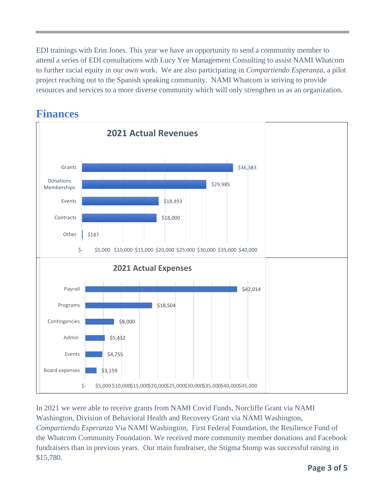EDI trainings with Erin Jones. This year we have an opportunity to send a community member to attend a series of EDI consultations with Lucy Yee Management Consulting to assist NAMI Whatcom to further racial equity in our own work. We are also participating in *Compartiendo Esperanza*, a pilot project reaching out to the Spanish speaking community. NAMI Whatcom is striving to provide resources and services to a more diverse community which will only strengthen us as an organization.



## **Finances**

In 2021 we were able to receive grants from NAMI Covid Funds, Norcliffe Grant via NAMI Washington, Division of Behavioral Health and Recovery Grant via NAMI Washington, *Compartiendo Esperanza* Via NAMI Washington, First Federal Foundation, the Resilience Fund of the Whatcom Community Foundation. We received more community member donations and Facebook fundraisers than in previous years. Our main fundraiser, the Stigma Stomp was successful raising in \$15,780.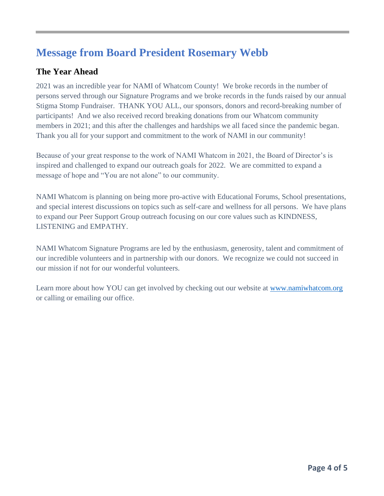# **Message from Board President Rosemary Webb**

## **The Year Ahead**

2021 was an incredible year for NAMI of Whatcom County! We broke records in the number of persons served through our Signature Programs and we broke records in the funds raised by our annual Stigma Stomp Fundraiser. THANK YOU ALL, our sponsors, donors and record-breaking number of participants! And we also received record breaking donations from our Whatcom community members in 2021; and this after the challenges and hardships we all faced since the pandemic began. Thank you all for your support and commitment to the work of NAMI in our community!

Because of your great response to the work of NAMI Whatcom in 2021, the Board of Director's is inspired and challenged to expand our outreach goals for 2022. We are committed to expand a message of hope and "You are not alone" to our community.

NAMI Whatcom is planning on being more pro-active with Educational Forums, School presentations, and special interest discussions on topics such as self-care and wellness for all persons. We have plans to expand our Peer Support Group outreach focusing on our core values such as KINDNESS, LISTENING and EMPATHY.

NAMI Whatcom Signature Programs are led by the enthusiasm, generosity, talent and commitment of our incredible volunteers and in partnership with our donors. We recognize we could not succeed in our mission if not for our wonderful volunteers.

Learn more about how YOU can get involved by checking out our website at [www.namiwhatcom.org](http://www.namiwhatcom.org/) or calling or emailing our office.